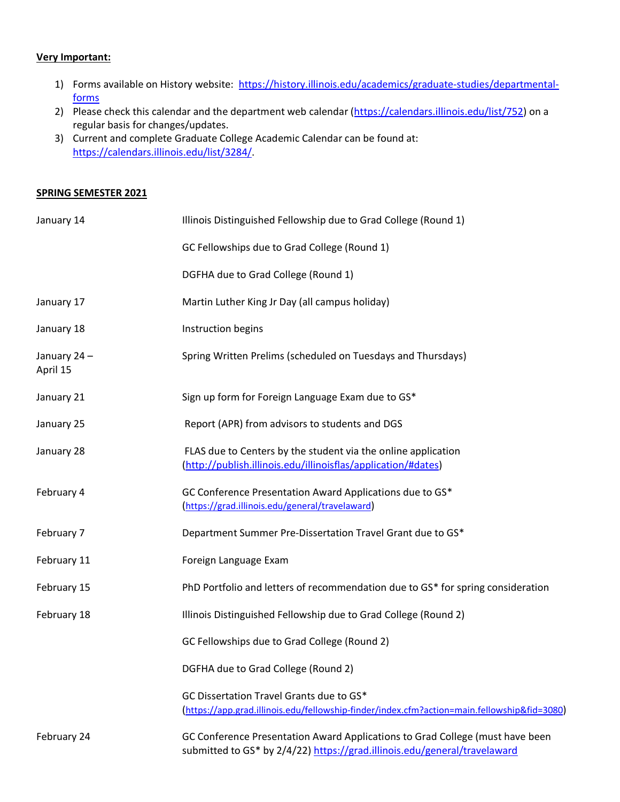## **Very Important:**

- 1) Forms available on History website: [https://history.illinois.edu/academics/graduate-studies/departmental](https://history.illinois.edu/academics/graduate-studies/departmental-forms)[forms](https://history.illinois.edu/academics/graduate-studies/departmental-forms)
- 2) Please check this calendar and the department web calendar [\(https://calendars.illinois.edu/list/752\)](https://calendars.illinois.edu/list/752) on a regular basis for changes/updates.
- 3) Current and complete Graduate College Academic Calendar can be found at: https://calendars.illinois.edu/list/3284/.

## **SPRING SEMESTER 2021**

| January 14              | Illinois Distinguished Fellowship due to Grad College (Round 1)                                                                                            |
|-------------------------|------------------------------------------------------------------------------------------------------------------------------------------------------------|
|                         | GC Fellowships due to Grad College (Round 1)                                                                                                               |
|                         | DGFHA due to Grad College (Round 1)                                                                                                                        |
| January 17              | Martin Luther King Jr Day (all campus holiday)                                                                                                             |
| January 18              | Instruction begins                                                                                                                                         |
| January 24-<br>April 15 | Spring Written Prelims (scheduled on Tuesdays and Thursdays)                                                                                               |
| January 21              | Sign up form for Foreign Language Exam due to GS*                                                                                                          |
| January 25              | Report (APR) from advisors to students and DGS                                                                                                             |
| January 28              | FLAS due to Centers by the student via the online application<br>(http://publish.illinois.edu/illinoisflas/application/#dates)                             |
| February 4              | GC Conference Presentation Award Applications due to GS*<br>(https://grad.illinois.edu/general/travelaward)                                                |
| February 7              | Department Summer Pre-Dissertation Travel Grant due to GS*                                                                                                 |
| February 11             | Foreign Language Exam                                                                                                                                      |
| February 15             | PhD Portfolio and letters of recommendation due to GS* for spring consideration                                                                            |
| February 18             | Illinois Distinguished Fellowship due to Grad College (Round 2)                                                                                            |
|                         | GC Fellowships due to Grad College (Round 2)                                                                                                               |
|                         | DGFHA due to Grad College (Round 2)                                                                                                                        |
|                         | GC Dissertation Travel Grants due to GS*<br>(https://app.grad.illinois.edu/fellowship-finder/index.cfm?action=main.fellowship&fid=3080)                    |
| February 24             | GC Conference Presentation Award Applications to Grad College (must have been<br>submitted to GS* by 2/4/22) https://grad.illinois.edu/general/travelaward |